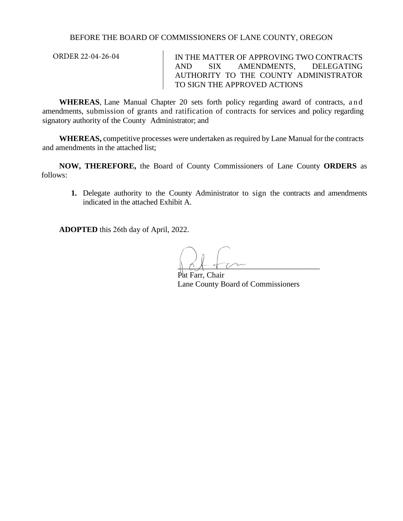## BEFORE THE BOARD OF COMMISSIONERS OF LANE COUNTY, OREGON

ORDER 22-04-26-04

IN THE MATTER OF APPROVING TWO CONTRACTS AND SIX AMENDMENTS, DELEGATING AUTHORITY TO THE COUNTY ADMINISTRATOR TO SIGN THE APPROVED ACTIONS

**WHEREAS**, Lane Manual Chapter 20 sets forth policy regarding award of contracts, and amendments, submission of grants and ratification of contracts for services and policy regarding signatory authority of the County Administrator; and

**WHEREAS,** competitive processes were undertaken as required by Lane Manual for the contracts and amendments in the attached list;

**NOW, THEREFORE,** the Board of County Commissioners of Lane County **ORDERS** as follows:

**1.** Delegate authority to the County Administrator to sign the contracts and amendments indicated in the attached Exhibit A.

**ADOPTED** this 26th day of April, 2022.

 $\parallel$  at  $\longleftarrow$ 

Pat Farr, Chair Lane County Board of Commissioners